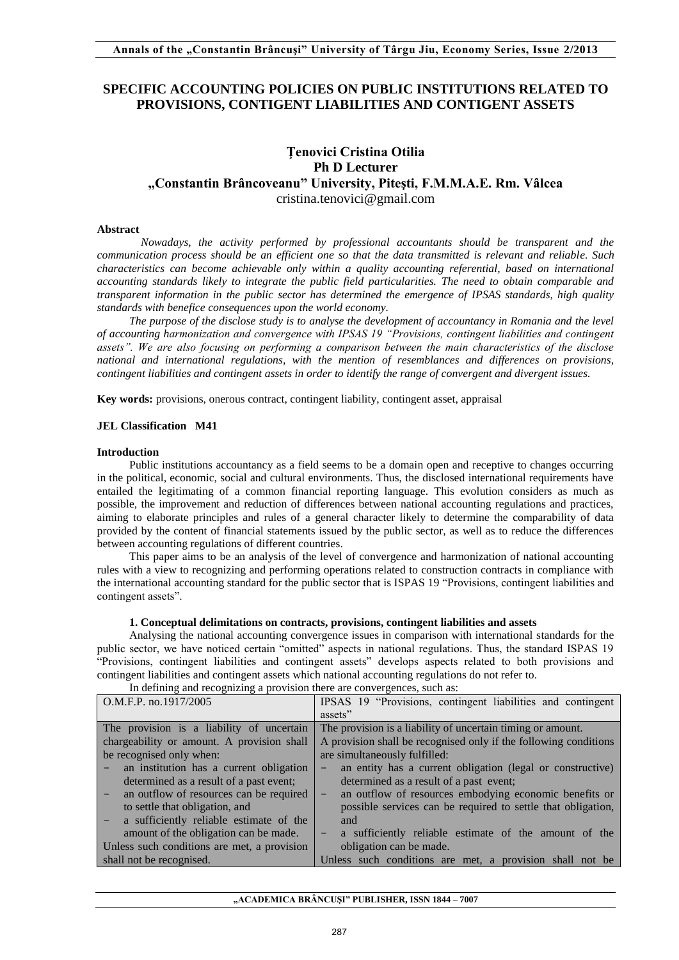# **SPECIFIC ACCOUNTING POLICIES ON PUBLIC INSTITUTIONS RELATED TO PROVISIONS, CONTIGENT LIABILITIES AND CONTIGENT ASSETS**

# **Ţenovici Cristina Otilia Ph D Lecturer "Constantin Brâncoveanu" University, Piteşti, F.M.M.A.E. Rm. Vâlcea** [cristina.tenovici@gmail.com](mailto:cristina.tenovici@gmail.com)

# **Abstract**

*Nowadays, the activity performed by professional accountants should be transparent and the communication process should be an efficient one so that the data transmitted is relevant and reliable. Such characteristics can become achievable only within a quality accounting referential, based on international accounting standards likely to integrate the public field particularities. The need to obtain comparable and transparent information in the public sector has determined the emergence of IPSAS standards, high quality standards with benefice consequences upon the world economy.* 

*The purpose of the disclose study is to analyse the development of accountancy in Romania and the level of accounting harmonization and convergence with IPSAS 19 "Provisions, contingent liabilities and contingent assets". We are also focusing on performing a comparison between the main characteristics of the disclose national and international regulations, with the mention of resemblances and differences on provisions, contingent liabilities and contingent assets in order to identify the range of convergent and divergent issues.* 

**Key words:** provisions, onerous contract, contingent liability, contingent asset, appraisal

# **JEL Classification M41**

# **Introduction**

Public institutions accountancy as a field seems to be a domain open and receptive to changes occurring in the political, economic, social and cultural environments. Thus, the disclosed international requirements have entailed the legitimating of a common financial reporting language. This evolution considers as much as possible, the improvement and reduction of differences between national accounting regulations and practices, aiming to elaborate principles and rules of a general character likely to determine the comparability of data provided by the content of financial statements issued by the public sector, as well as to reduce the differences between accounting regulations of different countries.

This paper aims to be an analysis of the level of convergence and harmonization of national accounting rules with a view to recognizing and performing operations related to construction contracts in compliance with the international accounting standard for the public sector that is ISPAS 19 "Provisions, contingent liabilities and contingent assets".

# **1. Conceptual delimitations on contracts, provisions, contingent liabilities and assets**

Analysing the national accounting convergence issues in comparison with international standards for the public sector, we have noticed certain "omitted" aspects in national regulations. Thus, the standard ISPAS 19 "Provisions, contingent liabilities and contingent assets" develops aspects related to both provisions and contingent liabilities and contingent assets which national accounting regulations do not refer to.

| In defining and recognizing a provision there are convergences, such as. |                                                                            |
|--------------------------------------------------------------------------|----------------------------------------------------------------------------|
| O.M.F.P. no.1917/2005                                                    | IPSAS 19 "Provisions, contingent liabilities and contingent                |
|                                                                          | assets"                                                                    |
| The provision is a liability of uncertain                                | The provision is a liability of uncertain timing or amount.                |
| chargeability or amount. A provision shall                               | A provision shall be recognised only if the following conditions           |
| be recognised only when:                                                 | are simultaneously fulfilled:                                              |
| an institution has a current obligation                                  | an entity has a current obligation (legal or constructive)                 |
| determined as a result of a past event;                                  | determined as a result of a past event;                                    |
| an outflow of resources can be required                                  | an outflow of resources embodying economic benefits or<br>-                |
| to settle that obligation, and                                           | possible services can be required to settle that obligation,               |
| a sufficiently reliable estimate of the                                  | and                                                                        |
| amount of the obligation can be made.                                    | a sufficiently reliable estimate of the amount of the<br>$\qquad \qquad -$ |
| Unless such conditions are met, a provision                              | obligation can be made.                                                    |
| shall not be recognised.                                                 | Unless such conditions are met, a provision shall not be                   |

In defining and recognizing a provision there are convergences, such as: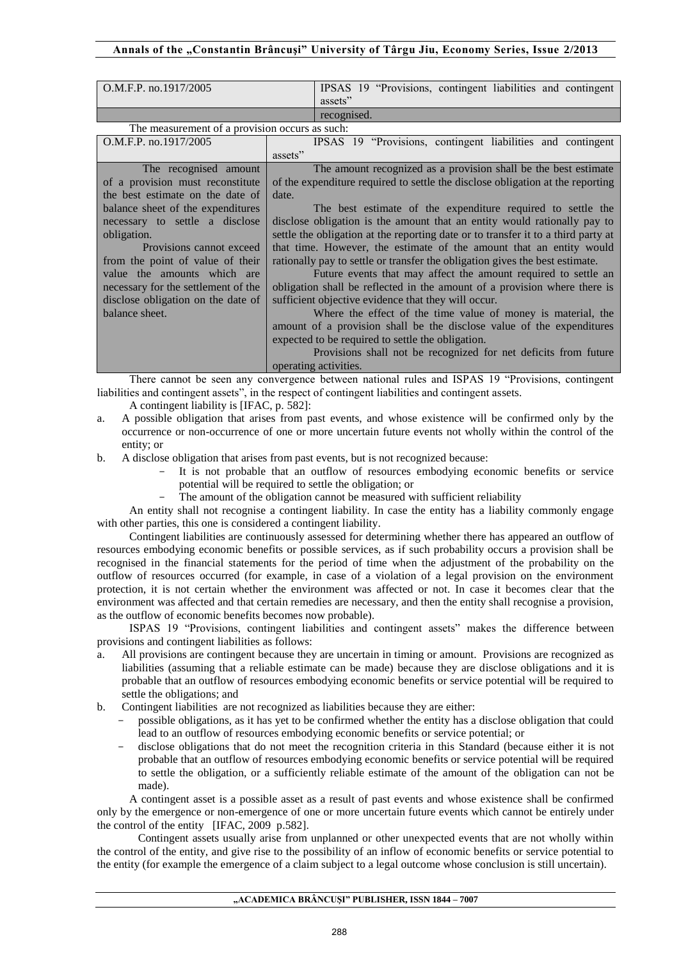# **Annals of the "Constantin Brâncuşi" University of Târgu Jiu, Economy Series, Issue 2/2013**

| O.M.F.P. no.1917/2005                          | IPSAS 19 "Provisions, contingent liabilities and contingent<br>assets"            |  |  |  |
|------------------------------------------------|-----------------------------------------------------------------------------------|--|--|--|
|                                                | recognised.                                                                       |  |  |  |
| The measurement of a provision occurs as such: |                                                                                   |  |  |  |
| O.M.F.P. no.1917/2005                          | IPSAS 19 "Provisions, contingent liabilities and contingent                       |  |  |  |
|                                                | assets"                                                                           |  |  |  |
| The recognised amount                          | The amount recognized as a provision shall be the best estimate                   |  |  |  |
| of a provision must reconstitute               | of the expenditure required to settle the disclose obligation at the reporting    |  |  |  |
| the best estimate on the date of               | date.                                                                             |  |  |  |
| balance sheet of the expenditures              | The best estimate of the expenditure required to settle the                       |  |  |  |
| necessary to settle a disclose                 | disclose obligation is the amount that an entity would rationally pay to          |  |  |  |
| obligation.                                    | settle the obligation at the reporting date or to transfer it to a third party at |  |  |  |
| Provisions cannot exceed                       | that time. However, the estimate of the amount that an entity would               |  |  |  |
| from the point of value of their               | rationally pay to settle or transfer the obligation gives the best estimate.      |  |  |  |
| value the amounts which are                    | Future events that may affect the amount required to settle an                    |  |  |  |
| necessary for the settlement of the            | obligation shall be reflected in the amount of a provision where there is         |  |  |  |
| disclose obligation on the date of             | sufficient objective evidence that they will occur.                               |  |  |  |
| balance sheet.                                 | Where the effect of the time value of money is material, the                      |  |  |  |
|                                                | amount of a provision shall be the disclose value of the expenditures             |  |  |  |
|                                                | expected to be required to settle the obligation.                                 |  |  |  |
|                                                | Provisions shall not be recognized for net deficits from future                   |  |  |  |
|                                                | operating activities.                                                             |  |  |  |

There cannot be seen any convergence between national rules and ISPAS 19 "Provisions, contingent liabilities and contingent assets", in the respect of contingent liabilities and contingent assets. A contingent liability is [IFAC, p. 582]:

a. A possible obligation that arises from past events, and whose existence will be confirmed only by the occurrence or non-occurrence of one or more uncertain future events not wholly within the control of the entity; or

b. A disclose obligation that arises from past events, but is not recognized because:

- It is not probable that an outflow of resources embodying economic benefits or service potential will be required to settle the obligation; or
- The amount of the obligation cannot be measured with sufficient reliability

An entity shall not recognise a contingent liability. In case the entity has a liability commonly engage with other parties, this one is considered a contingent liability.

Contingent liabilities are continuously assessed for determining whether there has appeared an outflow of resources embodying economic benefits or possible services, as if such probability occurs a provision shall be recognised in the financial statements for the period of time when the adjustment of the probability on the outflow of resources occurred (for example, in case of a violation of a legal provision on the environment protection, it is not certain whether the environment was affected or not. In case it becomes clear that the environment was affected and that certain remedies are necessary, and then the entity shall recognise a provision, as the outflow of economic benefits becomes now probable).

ISPAS 19 "Provisions, contingent liabilities and contingent assets" makes the difference between provisions and contingent liabilities as follows:

- a. All provisions are contingent because they are uncertain in timing or amount. Provisions are recognized as liabilities (assuming that a reliable estimate can be made) because they are disclose obligations and it is probable that an outflow of resources embodying economic benefits or service potential will be required to settle the obligations; and
- b. Contingent liabilities are not recognized as liabilities because they are either:
	- possible obligations, as it has yet to be confirmed whether the entity has a disclose obligation that could lead to an outflow of resources embodying economic benefits or service potential; or
	- disclose obligations that do not meet the recognition criteria in this Standard (because either it is not probable that an outflow of resources embodying economic benefits or service potential will be required to settle the obligation, or a sufficiently reliable estimate of the amount of the obligation can not be made).

A contingent asset is a possible asset as a result of past events and whose existence shall be confirmed only by the emergence or non-emergence of one or more uncertain future events which cannot be entirely under the control of the entity [IFAC, 2009 p.582].

Contingent assets usually arise from unplanned or other unexpected events that are not wholly within the control of the entity, and give rise to the possibility of an inflow of economic benefits or service potential to the entity (for example the emergence of a claim subject to a legal outcome whose conclusion is still uncertain).

#### **"ACADEMICA BRÂNCUŞI" PUBLISHER, ISSN 1844 – 7007**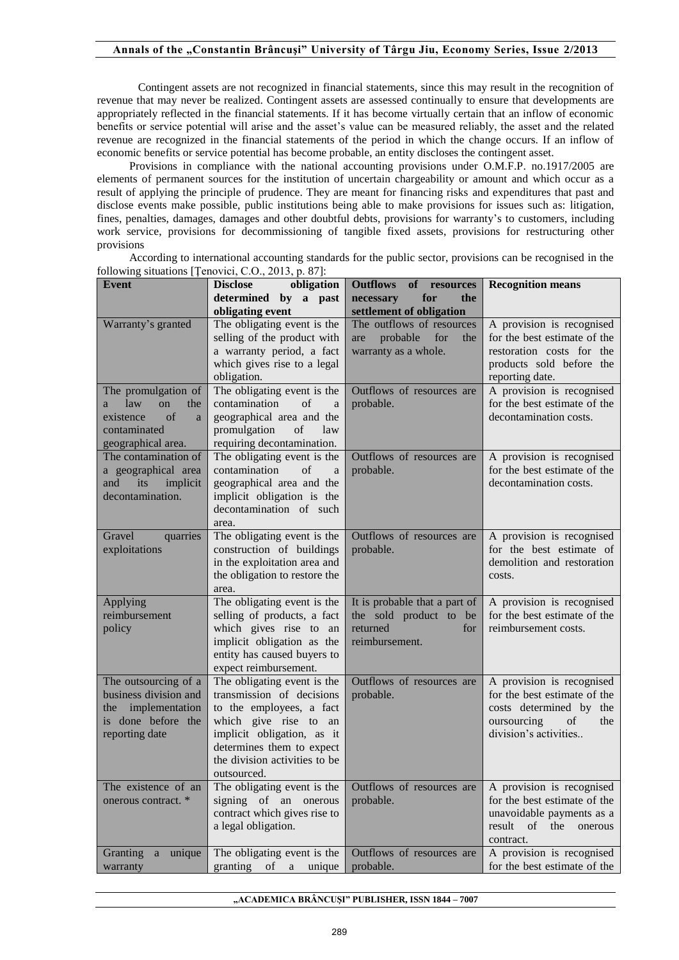Contingent assets are not recognized in financial statements, since this may result in the recognition of revenue that may never be realized. Contingent assets are assessed continually to ensure that developments are appropriately reflected in the financial statements. If it has become virtually certain that an inflow of economic benefits or service potential will arise and the asset's value can be measured reliably, the asset and the related revenue are recognized in the financial statements of the period in which the change occurs. If an inflow of economic benefits or service potential has become probable, an entity discloses the contingent asset.

Provisions in compliance with the national accounting provisions under O.M.F.P. no.1917/2005 are elements of permanent sources for the institution of uncertain chargeability or amount and which occur as a result of applying the principle of prudence. They are meant for financing risks and expenditures that past and disclose events make possible, public institutions being able to make provisions for issues such as: litigation, fines, penalties, damages, damages and other doubtful debts, provisions for warranty's to customers, including work service, provisions for decommissioning of tangible fixed assets, provisions for restructuring other provisions

**Event Disclose obligation determined by a past obligating event Outflows of resources necessary for the settlement of obligation Recognition means**  Warranty's granted The obligating event is the selling of the product with a warranty period, a fact which gives rise to a legal obligation. The outflows of resources are probable for the warranty as a whole. A provision is recognised for the best estimate of the restoration costs for the products sold before the reporting date. The promulgation of a law on the existence of a contaminated geographical area. The obligating event is the contamination of a geographical area and the promulgation of law requiring decontamination. Outflows of resources are probable. A provision is recognised for the best estimate of the decontamination costs. The contamination of a geographical area and its implicit decontamination. The obligating event is the contamination of a geographical area and the implicit obligation is the decontamination of such area. Outflows of resources are probable. A provision is recognised for the best estimate of the decontamination costs. Gravel quarries exploitations The obligating event is the construction of buildings in the exploitation area and the obligation to restore the area. Outflows of resources are probable. A provision is recognised for the best estimate of demolition and restoration costs. Applying reimbursement policy The obligating event is the selling of products, a fact which gives rise to an implicit obligation as the entity has caused buyers to expect reimbursement. It is probable that a part of the sold product to be returned for reimbursement. A provision is recognised for the best estimate of the reimbursement costs. The outsourcing of a business division and the implementation is done before the reporting date The obligating event is the transmission of decisions to the employees, a fact which give rise to an implicit obligation, as it determines them to expect the division activities to be outsourced. Outflows of resources are probable. A provision is recognised for the best estimate of the costs determined by the oursourcing of the division's activities.. The existence of an onerous contract. \* The obligating event is the signing of an onerous contract which gives rise to a legal obligation. Outflows of resources are probable. A provision is recognised for the best estimate of the unavoidable payments as a result of the onerous contract. Granting a unique warranty The obligating event is the granting of a unique Outflows of resources are probable. A provision is recognised for the best estimate of the

According to international accounting standards for the public sector, provisions can be recognised in the following situations [Ţenovici, C.O., 2013, p. 87]:

**"ACADEMICA BRÂNCUŞI" PUBLISHER, ISSN 1844 – 7007**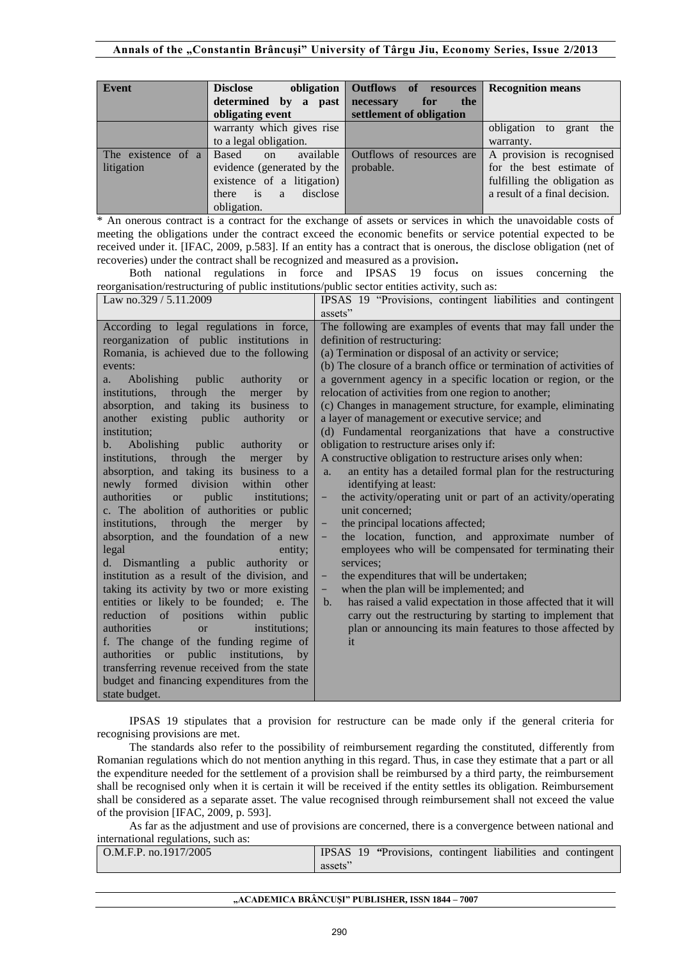| Event              | <b>Disclose</b><br>obligation                         | Outflows of resources     | <b>Recognition means</b>      |
|--------------------|-------------------------------------------------------|---------------------------|-------------------------------|
|                    | determined by a past                                  | necessary<br>the<br>for   |                               |
|                    | obligating event                                      | settlement of obligation  |                               |
|                    | warranty which gives rise                             |                           | obligation to<br>grant the    |
|                    | to a legal obligation.                                |                           | warranty.                     |
| The existence of a | available<br><b>Based</b><br><sub>on</sub>            | Outflows of resources are | A provision is recognised     |
| litigation         | evidence (generated by the                            | probable.                 | for the best estimate of      |
|                    | existence of a litigation)                            |                           | fulfilling the obligation as  |
|                    | $\overline{\phantom{a}}$ is<br>disclose<br>there<br>a |                           | a result of a final decision. |
|                    | obligation.                                           |                           |                               |

\* An onerous contract is a contract for the exchange of assets or services in which the unavoidable costs of meeting the obligations under the contract exceed the economic benefits or service potential expected to be received under it. [IFAC, 2009, p.583]. If an entity has a contract that is onerous, the disclose obligation (net of recoveries) under the contract shall be recognized and measured as a provision**.** 

Both national regulations in force and IPSAS 19 focus on issues concerning the reorganisation/restructuring of public institutions/public sector entities activity, such as:

| Law no.329 / 5.11.2009                                                  | IPSAS 19 "Provisions, contingent liabilities and contingent                     |
|-------------------------------------------------------------------------|---------------------------------------------------------------------------------|
|                                                                         | assets"                                                                         |
| According to legal regulations in force,                                | The following are examples of events that may fall under the                    |
| reorganization of public institutions in                                | definition of restructuring:                                                    |
| Romania, is achieved due to the following                               | (a) Termination or disposal of an activity or service;                          |
| events:                                                                 | (b) The closure of a branch office or termination of activities of              |
| <b>Abolishing</b><br>public<br>authority<br><b>or</b><br>a.             | a government agency in a specific location or region, or the                    |
| institutions, through the<br>merger<br>by                               | relocation of activities from one region to another;                            |
| absorption, and taking its business<br>to                               | (c) Changes in management structure, for example, eliminating                   |
| another existing public<br>authority<br><b>or</b>                       | a layer of management or executive service; and                                 |
| institution:                                                            | (d) Fundamental reorganizations that have a constructive                        |
| <b>Abolishing</b><br>public<br>authority<br>$\mathbf{b}$ .<br><b>or</b> | obligation to restructure arises only if:                                       |
| institutions, through the<br>merger<br>by                               | A constructive obligation to restructure arises only when:                      |
| absorption, and taking its business to a                                | an entity has a detailed formal plan for the restructuring<br>a.                |
| division<br>newly formed<br>within<br>other                             | identifying at least:                                                           |
| authorities<br>public<br>institutions;<br><b>or</b>                     | the activity/operating unit or part of an activity/operating<br>-               |
| c. The abolition of authorities or public                               | unit concerned:                                                                 |
| institutions, through the<br>merger<br>by                               | the principal locations affected;<br>-                                          |
| absorption, and the foundation of a new                                 | the location, function, and approximate number of<br>-                          |
| legal<br>entity;                                                        | employees who will be compensated for terminating their                         |
| d. Dismantling a public authority or                                    | services:                                                                       |
| institution as a result of the division, and                            | the expenditures that will be undertaken;<br>-                                  |
| taking its activity by two or more existing                             | when the plan will be implemented; and<br>-                                     |
| entities or likely to be founded; e. The                                | has raised a valid expectation in those affected that it will<br>$\mathbf{b}$ . |
| within public<br>reduction<br>of positions                              | carry out the restructuring by starting to implement that                       |
| authorities<br>institutions;<br>$\alpha$                                | plan or announcing its main features to those affected by                       |
| f. The change of the funding regime of                                  | it                                                                              |
| authorities or<br>public institutions,<br>by                            |                                                                                 |
| transferring revenue received from the state                            |                                                                                 |
| budget and financing expenditures from the                              |                                                                                 |
| state budget.                                                           |                                                                                 |

IPSAS 19 stipulates that a provision for restructure can be made only if the general criteria for recognising provisions are met.

The standards also refer to the possibility of reimbursement regarding the constituted, differently from Romanian regulations which do not mention anything in this regard. Thus, in case they estimate that a part or all the expenditure needed for the settlement of a provision shall be reimbursed by a third party, the reimbursement shall be recognised only when it is certain it will be received if the entity settles its obligation. Reimbursement shall be considered as a separate asset. The value recognised through reimbursement shall not exceed the value of the provision [IFAC, 2009, p. 593].

As far as the adjustment and use of provisions are concerned, there is a convergence between national and international regulations, such as:

| $\sim$ O.M.F.P. no.1917/2005 |         | IPSAS 19 "Provisions, contingent liabilities and contingent |  |  |
|------------------------------|---------|-------------------------------------------------------------|--|--|
|                              | assets" |                                                             |  |  |

#### **"ACADEMICA BRÂNCUŞI" PUBLISHER, ISSN 1844 – 7007**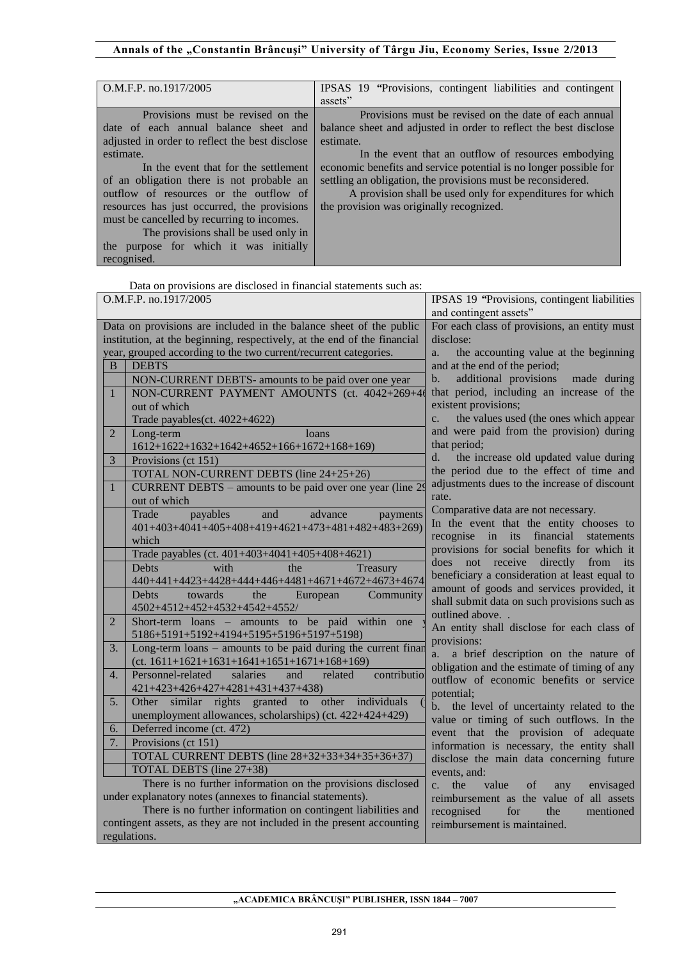# Annals of the "Constantin Brâncuși" University of Târgu Jiu, Economy Series, Issue 2/2013

| O.M.F.P. no.1917/2005                          | IPSAS 19 "Provisions, contingent liabilities and contingent       |
|------------------------------------------------|-------------------------------------------------------------------|
|                                                | assets"                                                           |
| Provisions must be revised on the              | Provisions must be revised on the date of each annual             |
| date of each annual balance sheet and          | balance sheet and adjusted in order to reflect the best disclose  |
| adjusted in order to reflect the best disclose | estimate.                                                         |
| estimate.                                      | In the event that an outflow of resources embodying               |
| In the event that for the settlement           | economic benefits and service potential is no longer possible for |
| of an obligation there is not probable an      | settling an obligation, the provisions must be reconsidered.      |
| outflow of resources or the outflow of         | A provision shall be used only for expenditures for which         |
| resources has just occurred, the provisions    | the provision was originally recognized.                          |
| must be cancelled by recurring to incomes.     |                                                                   |
| The provisions shall be used only in           |                                                                   |
| the purpose for which it was initially         |                                                                   |
| recognised.                                    |                                                                   |

Data on provisions are disclosed in financial statements such as:

| O.M.F.P. no.1917/2005 |                                                                          | IPSAS 19 "Provisions, contingent liabilities                   |  |  |
|-----------------------|--------------------------------------------------------------------------|----------------------------------------------------------------|--|--|
|                       |                                                                          | and contingent assets"                                         |  |  |
|                       | Data on provisions are included in the balance sheet of the public       | For each class of provisions, an entity must                   |  |  |
|                       | institution, at the beginning, respectively, at the end of the financial | disclose:                                                      |  |  |
|                       | year, grouped according to the two current/recurrent categories.         | the accounting value at the beginning<br>a.                    |  |  |
| B                     | <b>DEBTS</b>                                                             | and at the end of the period;                                  |  |  |
|                       | NON-CURRENT DEBTS- amounts to be paid over one year                      | additional provisions made during<br>b.                        |  |  |
| $\mathbf{1}$          | NON-CURRENT PAYMENT AMOUNTS (ct. 4042+269+46                             | that period, including an increase of the                      |  |  |
|                       | out of which                                                             | existent provisions;                                           |  |  |
|                       | Trade payables(ct. 4022+4622)                                            | the values used (the ones which appear<br>$\mathbf{c}$ .       |  |  |
| $\overline{2}$        | Long-term<br>loans                                                       | and were paid from the provision) during                       |  |  |
|                       | 1612+1622+1632+1642+4652+166+1672+168+169)                               | that period;                                                   |  |  |
| $\overline{3}$        | Provisions (ct 151)                                                      | the increase old updated value during<br>d.                    |  |  |
|                       | TOTAL NON-CURRENT DEBTS (line 24+25+26)                                  | the period due to the effect of time and                       |  |  |
| $\mathbf{1}$          | CURRENT DEBTS – amounts to be paid over one year (line 29)               | adjustments dues to the increase of discount                   |  |  |
|                       | out of which                                                             | rate.                                                          |  |  |
|                       | advance<br>payables<br>and<br>Trade<br>payments                          | Comparative data are not necessary.                            |  |  |
|                       | 401+403+4041+405+408+419+4621+473+481+482+483+269)                       | In the event that the entity chooses to                        |  |  |
|                       | which                                                                    | recognise in its financial statements                          |  |  |
|                       | Trade payables (ct. 401+403+4041+405+408+4621)                           | provisions for social benefits for which it                    |  |  |
|                       | with<br>the<br>Treasury<br><b>Debts</b>                                  | does not receive<br>directly from<br>its                       |  |  |
|                       | 440+441+4423+4428+444+446+4481+4671+4672+4673+4674                       | beneficiary a consideration at least equal to                  |  |  |
|                       | European<br>Community<br><b>Debts</b><br>towards the                     | amount of goods and services provided, it                      |  |  |
|                       | 4502+4512+452+4532+4542+4552/                                            | shall submit data on such provisions such as<br>outlined above |  |  |
| $\overline{2}$        | Short-term loans - amounts to be paid within one                         | An entity shall disclose for each class of                     |  |  |
|                       | 5186+5191+5192+4194+5195+5196+5197+5198)                                 | provisions:                                                    |  |  |
| 3.                    | Long-term loans – amounts to be paid during the current finan            | a brief description on the nature of<br>a.                     |  |  |
|                       | $(ct. 1611+1621+1631+1641+1651+1671+168+169)$                            | obligation and the estimate of timing of any                   |  |  |
| 4.                    | contributio<br>Personnel-related<br>salaries<br>and<br>related           | outflow of economic benefits or service                        |  |  |
|                       | 421+423+426+427+4281+431+437+438)                                        | potential:                                                     |  |  |
| 5.                    | Other similar rights granted to other individuals                        | the level of uncertainty related to the<br>b.                  |  |  |
|                       | unemployment allowances, scholarships) (ct. 422+424+429)                 | value or timing of such outflows. In the                       |  |  |
| 6.                    | Deferred income (ct. 472)                                                | event that the provision of adequate                           |  |  |
| 7.                    | Provisions (ct 151)                                                      | information is necessary, the entity shall                     |  |  |
|                       | TOTAL CURRENT DEBTS (line 28+32+33+34+35+36+37)                          | disclose the main data concerning future                       |  |  |
|                       | TOTAL DEBTS (line 27+38)                                                 | events, and:                                                   |  |  |
|                       | There is no further information on the provisions disclosed              | value<br>envisaged<br>$c_{\cdot}$<br>the<br>of<br>any          |  |  |
|                       | under explanatory notes (annexes to financial statements).               | reimbursement as the value of all assets                       |  |  |
|                       | There is no further information on contingent liabilities and            | recognised<br>the<br>mentioned<br>for                          |  |  |
|                       | contingent assets, as they are not included in the present accounting    | reimbursement is maintained.                                   |  |  |
|                       | regulations.                                                             |                                                                |  |  |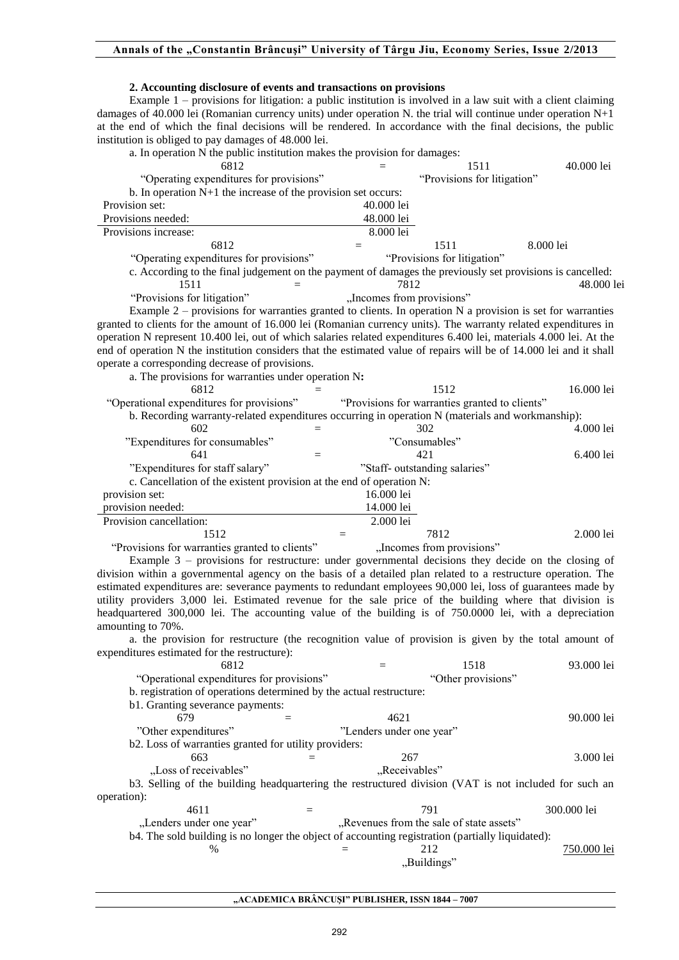# **2. Accounting disclosure of events and transactions on provisions**

Example 1 – provisions for litigation: a public institution is involved in a law suit with a client claiming damages of 40.000 lei (Romanian currency units) under operation N. the trial will continue under operation N+1 at the end of which the final decisions will be rendered. In accordance with the final decisions, the public institution is obliged to pay damages of 48.000 lei.

a. In operation N the public institution makes the provision for damages:

| 6812                                                                                                                | $=$                                            | 1511                        | 40.000 lei  |
|---------------------------------------------------------------------------------------------------------------------|------------------------------------------------|-----------------------------|-------------|
| "Operating expenditures for provisions"                                                                             |                                                | "Provisions for litigation" |             |
| b. In operation $N+1$ the increase of the provision set occurs:                                                     |                                                |                             |             |
| Provision set:                                                                                                      | 40.000 lei                                     |                             |             |
| Provisions needed:                                                                                                  |                                                |                             |             |
|                                                                                                                     | 48.000 lei                                     |                             |             |
| Provisions increase:                                                                                                | 8.000 lei                                      |                             |             |
| 6812<br>$=$                                                                                                         | 1511                                           |                             | 8.000 lei   |
| "Operating expenditures for provisions"                                                                             | "Provisions for litigation"                    |                             |             |
| c. According to the final judgement on the payment of damages the previously set provisions is cancelled:           |                                                |                             |             |
| 1511<br>$=$                                                                                                         | 7812                                           |                             | 48.000 lei  |
| "Provisions for litigation"                                                                                         | "Incomes from provisions"                      |                             |             |
|                                                                                                                     |                                                |                             |             |
| Example $2$ – provisions for warranties granted to clients. In operation N a provision is set for warranties        |                                                |                             |             |
| granted to clients for the amount of 16.000 lei (Romanian currency units). The warranty related expenditures in     |                                                |                             |             |
| operation N represent 10.400 lei, out of which salaries related expenditures 6.400 lei, materials 4.000 lei. At the |                                                |                             |             |
| end of operation N the institution considers that the estimated value of repairs will be of 14.000 lei and it shall |                                                |                             |             |
| operate a corresponding decrease of provisions.                                                                     |                                                |                             |             |
| a. The provisions for warranties under operation N:                                                                 |                                                |                             |             |
| 6812                                                                                                                | 1512                                           |                             | 16.000 lei  |
|                                                                                                                     |                                                |                             |             |
| "Operational expenditures for provisions"                                                                           | "Provisions for warranties granted to clients" |                             |             |
| b. Recording warranty-related expenditures occurring in operation N (materials and workmanship):                    |                                                |                             |             |
| 602                                                                                                                 | 302                                            |                             | 4.000 lei   |
| "Expenditures for consumables"                                                                                      | "Consumables"                                  |                             |             |
| 641<br>$\equiv$                                                                                                     | 421                                            |                             | 6.400 lei   |
| "Expenditures for staff salary"                                                                                     | "Staff- outstanding salaries"                  |                             |             |
| c. Cancellation of the existent provision at the end of operation N:                                                |                                                |                             |             |
|                                                                                                                     |                                                |                             |             |
| provision set:                                                                                                      | 16.000 lei                                     |                             |             |
| provision needed:                                                                                                   | 14.000 lei                                     |                             |             |
| Provision cancellation:                                                                                             | 2.000 lei                                      |                             |             |
| 1512<br>$=$                                                                                                         | 7812                                           |                             | 2.000 lei   |
| "Provisions for warranties granted to clients"                                                                      | "Incomes from provisions"                      |                             |             |
| Example $3$ – provisions for restructure: under governmental decisions they decide on the closing of                |                                                |                             |             |
| division within a governmental agency on the basis of a detailed plan related to a restructure operation. The       |                                                |                             |             |
|                                                                                                                     |                                                |                             |             |
| estimated expenditures are: severance payments to redundant employees 90,000 lei, loss of guarantees made by        |                                                |                             |             |
| utility providers 3,000 lei. Estimated revenue for the sale price of the building where that division is            |                                                |                             |             |
| headquartered 300,000 lei. The accounting value of the building is of 750.0000 lei, with a depreciation             |                                                |                             |             |
| amounting to 70%.                                                                                                   |                                                |                             |             |
| a. the provision for restructure (the recognition value of provision is given by the total amount of                |                                                |                             |             |
| expenditures estimated for the restructure):                                                                        |                                                |                             |             |
| 6812                                                                                                                | $=$                                            | 1518                        | 93.000 lei  |
| "Operational expenditures for provisions"                                                                           |                                                | "Other provisions"          |             |
|                                                                                                                     |                                                |                             |             |
| b. registration of operations determined by the actual restructure:                                                 |                                                |                             |             |
| b1. Granting severance payments:                                                                                    |                                                |                             |             |
| 679<br>$=$                                                                                                          | 4621                                           |                             | 90.000 lei  |
| "Other expenditures"                                                                                                | "Lenders under one year"                       |                             |             |
| b2. Loss of warranties granted for utility providers:                                                               |                                                |                             |             |
| 663                                                                                                                 |                                                |                             |             |
|                                                                                                                     |                                                |                             |             |
|                                                                                                                     | 267                                            |                             | 3.000 lei   |
| "Loss of receivables"                                                                                               | "Receivables"                                  |                             |             |
| b3. Selling of the building headquartering the restructured division (VAT is not included for such an               |                                                |                             |             |
| operation):                                                                                                         |                                                |                             |             |
| 4611<br>$=$                                                                                                         | 791                                            |                             | 300.000 lei |
| "Lenders under one year"                                                                                            |                                                |                             |             |
|                                                                                                                     | "Revenues from the sale of state assets"       |                             |             |
| b4. The sold building is no longer the object of accounting registration (partially liquidated):                    |                                                |                             |             |
| %<br>$=$                                                                                                            | 212                                            |                             | 750.000 lei |
|                                                                                                                     | "Buildings"                                    |                             |             |
|                                                                                                                     |                                                |                             |             |